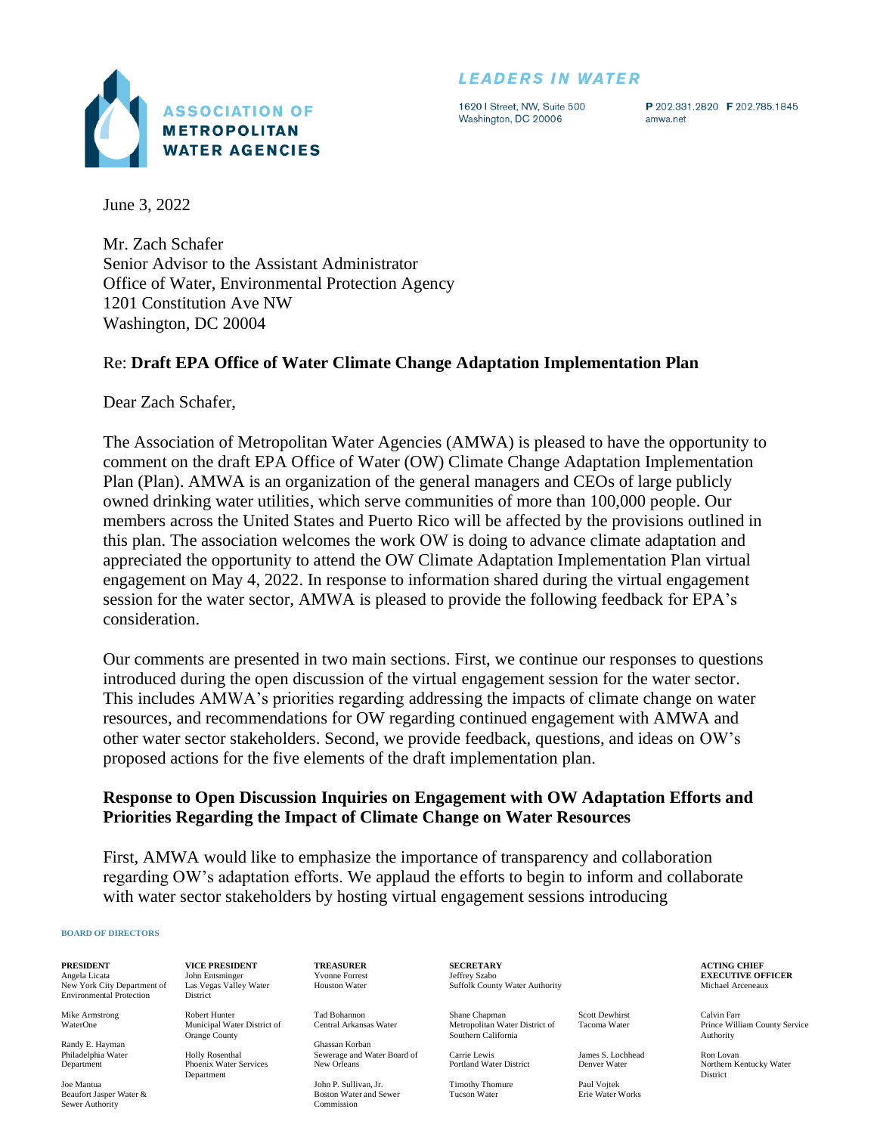# **LEADERS IN WATER**



1620 | Street, NW, Suite 500 Washington, DC 20006

P 202.331.2820 F 202.785.1845 amwa.net

June 3, 2022

Mr. Zach Schafer Senior Advisor to the Assistant Administrator Office of Water, Environmental Protection Agency 1201 Constitution Ave NW Washington, DC 20004

## Re: **Draft EPA Office of Water Climate Change Adaptation Implementation Plan**

Dear Zach Schafer,

The Association of Metropolitan Water Agencies (AMWA) is pleased to have the opportunity to comment on the draft EPA Office of Water (OW) Climate Change Adaptation Implementation Plan (Plan). AMWA is an organization of the general managers and CEOs of large publicly owned drinking water utilities, which serve communities of more than 100,000 people. Our members across the United States and Puerto Rico will be affected by the provisions outlined in this plan. The association welcomes the work OW is doing to advance climate adaptation and appreciated the opportunity to attend the OW Climate Adaptation Implementation Plan virtual engagement on May 4, 2022. In response to information shared during the virtual engagement session for the water sector, AMWA is pleased to provide the following feedback for EPA's consideration.

Our comments are presented in two main sections. First, we continue our responses to questions introduced during the open discussion of the virtual engagement session for the water sector. This includes AMWA's priorities regarding addressing the impacts of climate change on water resources, and recommendations for OW regarding continued engagement with AMWA and other water sector stakeholders. Second, we provide feedback, questions, and ideas on OW's proposed actions for the five elements of the draft implementation plan.

## **Response to Open Discussion Inquiries on Engagement with OW Adaptation Efforts and Priorities Regarding the Impact of Climate Change on Water Resources**

First, AMWA would like to emphasize the importance of transparency and collaboration regarding OW's adaptation efforts. We applaud the efforts to begin to inform and collaborate with water sector stakeholders by hosting virtual engagement sessions introducing

#### **BOARD OF DIRECTORS**

**PRESIDENT** Angela Licata

New York City Department of Environmental Protection

Mike Armstrong WaterOne

Randy E. Hayman Philadelphia Water Department

Joe Mantua Beaufort Jasper Water & Sewer Authority

**VICE PRESIDENT** John Entsminger Las Vegas Valley Water District

Robert Hunter Municipal Water District of Orange County

Holly Rosenthal Phoenix Water Services Department

**TREASURER** Yvonne Forrest Houston Water

Tad Bohannon Central Arkansas Water

Ghassan Korban Sewerage and Water Board of New Orleans

John P. Sullivan, Jr. Boston Water and Sewer Commission

**SECRETARY** Jeffrey Szabo Suffolk County Water Authority

Shane Chapman Metropolitan Water District of Southern California

Carrie Lewis Portland Water District

Timothy Thomure Tucson Water

Scott Dewhirst Tacoma Water

James S. Lochhead Denver Water Paul Vojtek Erie Water Works

**ACTING CHIEF EXECUTIVE OFFICER** Michael Arceneaux

Calvin Farr Prince William County Service Authority

Ron Lovan Northern Kentucky Water District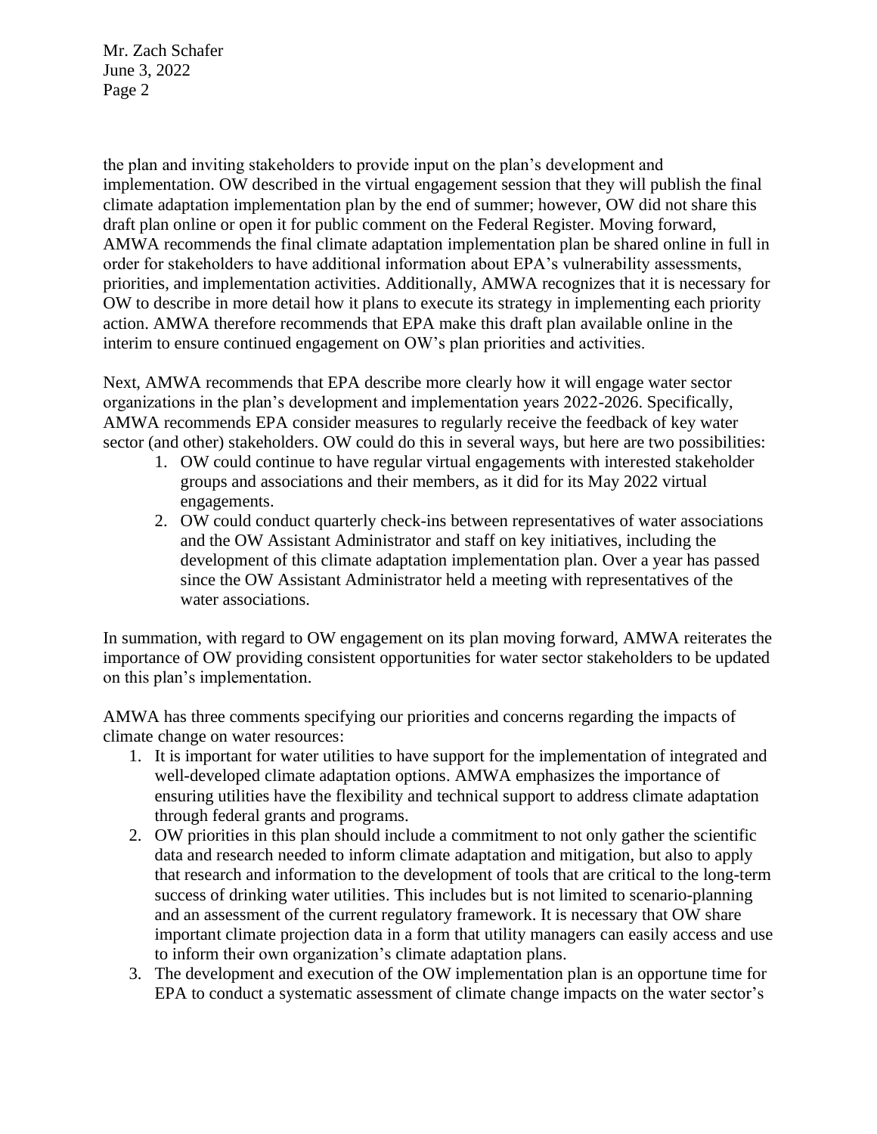the plan and inviting stakeholders to provide input on the plan's development and implementation. OW described in the virtual engagement session that they will publish the final climate adaptation implementation plan by the end of summer; however, OW did not share this draft plan online or open it for public comment on the Federal Register. Moving forward, AMWA recommends the final climate adaptation implementation plan be shared online in full in order for stakeholders to have additional information about EPA's vulnerability assessments, priorities, and implementation activities. Additionally, AMWA recognizes that it is necessary for OW to describe in more detail how it plans to execute its strategy in implementing each priority action. AMWA therefore recommends that EPA make this draft plan available online in the interim to ensure continued engagement on OW's plan priorities and activities.

Next, AMWA recommends that EPA describe more clearly how it will engage water sector organizations in the plan's development and implementation years 2022-2026. Specifically, AMWA recommends EPA consider measures to regularly receive the feedback of key water sector (and other) stakeholders. OW could do this in several ways, but here are two possibilities:

- 1. OW could continue to have regular virtual engagements with interested stakeholder groups and associations and their members, as it did for its May 2022 virtual engagements.
- 2. OW could conduct quarterly check-ins between representatives of water associations and the OW Assistant Administrator and staff on key initiatives, including the development of this climate adaptation implementation plan. Over a year has passed since the OW Assistant Administrator held a meeting with representatives of the water associations.

In summation, with regard to OW engagement on its plan moving forward, AMWA reiterates the importance of OW providing consistent opportunities for water sector stakeholders to be updated on this plan's implementation.

AMWA has three comments specifying our priorities and concerns regarding the impacts of climate change on water resources:

- 1. It is important for water utilities to have support for the implementation of integrated and well-developed climate adaptation options. AMWA emphasizes the importance of ensuring utilities have the flexibility and technical support to address climate adaptation through federal grants and programs.
- 2. OW priorities in this plan should include a commitment to not only gather the scientific data and research needed to inform climate adaptation and mitigation, but also to apply that research and information to the development of tools that are critical to the long-term success of drinking water utilities. This includes but is not limited to scenario-planning and an assessment of the current regulatory framework. It is necessary that OW share important climate projection data in a form that utility managers can easily access and use to inform their own organization's climate adaptation plans.
- 3. The development and execution of the OW implementation plan is an opportune time for EPA to conduct a systematic assessment of climate change impacts on the water sector's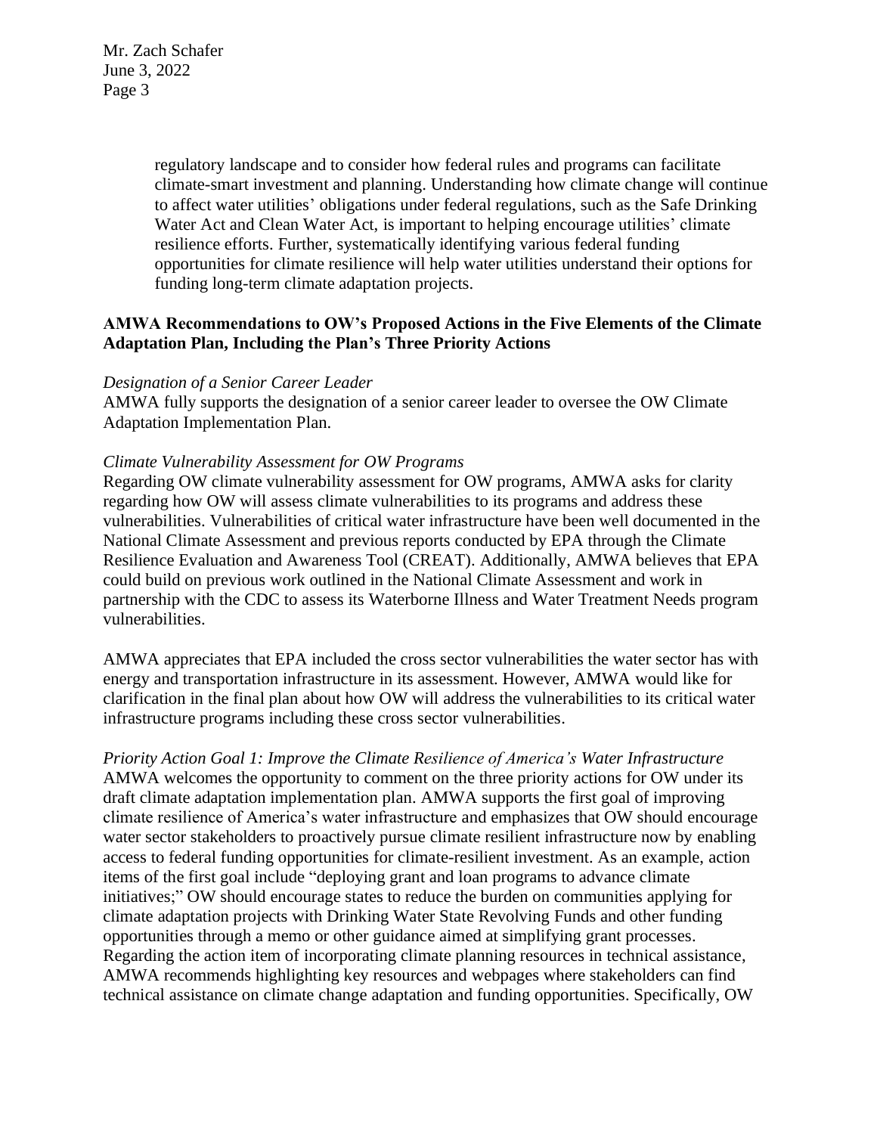> regulatory landscape and to consider how federal rules and programs can facilitate climate-smart investment and planning. Understanding how climate change will continue to affect water utilities' obligations under federal regulations, such as the Safe Drinking Water Act and Clean Water Act, is important to helping encourage utilities' climate resilience efforts. Further, systematically identifying various federal funding opportunities for climate resilience will help water utilities understand their options for funding long-term climate adaptation projects.

# **AMWA Recommendations to OW's Proposed Actions in the Five Elements of the Climate Adaptation Plan, Including the Plan's Three Priority Actions**

### *Designation of a Senior Career Leader*

AMWA fully supports the designation of a senior career leader to oversee the OW Climate Adaptation Implementation Plan.

### *Climate Vulnerability Assessment for OW Programs*

Regarding OW climate vulnerability assessment for OW programs, AMWA asks for clarity regarding how OW will assess climate vulnerabilities to its programs and address these vulnerabilities. Vulnerabilities of critical water infrastructure have been well documented in the National Climate Assessment and previous reports conducted by EPA through the Climate Resilience Evaluation and Awareness Tool (CREAT). Additionally, AMWA believes that EPA could build on previous work outlined in the National Climate Assessment and work in partnership with the CDC to assess its Waterborne Illness and Water Treatment Needs program vulnerabilities.

AMWA appreciates that EPA included the cross sector vulnerabilities the water sector has with energy and transportation infrastructure in its assessment. However, AMWA would like for clarification in the final plan about how OW will address the vulnerabilities to its critical water infrastructure programs including these cross sector vulnerabilities.

*Priority Action Goal 1: Improve the Climate Resilience of America's Water Infrastructure* AMWA welcomes the opportunity to comment on the three priority actions for OW under its draft climate adaptation implementation plan. AMWA supports the first goal of improving climate resilience of America's water infrastructure and emphasizes that OW should encourage water sector stakeholders to proactively pursue climate resilient infrastructure now by enabling access to federal funding opportunities for climate-resilient investment. As an example, action items of the first goal include "deploying grant and loan programs to advance climate initiatives;" OW should encourage states to reduce the burden on communities applying for climate adaptation projects with Drinking Water State Revolving Funds and other funding opportunities through a memo or other guidance aimed at simplifying grant processes. Regarding the action item of incorporating climate planning resources in technical assistance, AMWA recommends highlighting key resources and webpages where stakeholders can find technical assistance on climate change adaptation and funding opportunities. Specifically, OW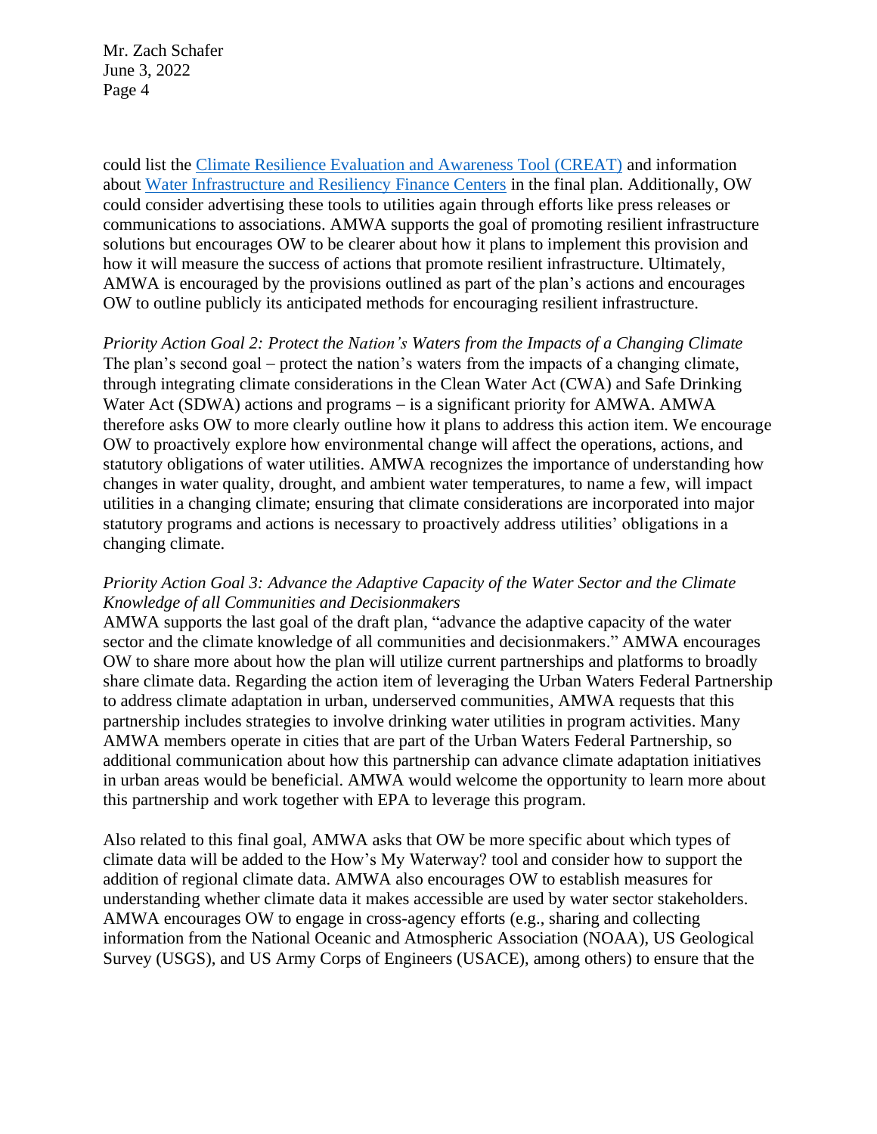could list the [Climate Resilience Evaluation and Awareness Tool \(CREAT\)](https://www.epa.gov/crwu/climate-resilience-evaluation-and-awareness-tool-creat-risk-assessment-application-water) and information about [Water Infrastructure and Resiliency Finance Centers](https://www.epa.gov/waterfinancecenter/financing-resilient-and-sustainable-water-infrastructure) in the final plan. Additionally, OW could consider advertising these tools to utilities again through efforts like press releases or communications to associations. AMWA supports the goal of promoting resilient infrastructure solutions but encourages OW to be clearer about how it plans to implement this provision and how it will measure the success of actions that promote resilient infrastructure. Ultimately, AMWA is encouraged by the provisions outlined as part of the plan's actions and encourages OW to outline publicly its anticipated methods for encouraging resilient infrastructure.

*Priority Action Goal 2: Protect the Nation's Waters from the Impacts of a Changing Climate* The plan's second goal – protect the nation's waters from the impacts of a changing climate, through integrating climate considerations in the Clean Water Act (CWA) and Safe Drinking Water Act (SDWA) actions and programs − is a significant priority for AMWA. AMWA therefore asks OW to more clearly outline how it plans to address this action item. We encourage OW to proactively explore how environmental change will affect the operations, actions, and statutory obligations of water utilities. AMWA recognizes the importance of understanding how changes in water quality, drought, and ambient water temperatures, to name a few, will impact utilities in a changing climate; ensuring that climate considerations are incorporated into major statutory programs and actions is necessary to proactively address utilities' obligations in a changing climate.

# *Priority Action Goal 3: Advance the Adaptive Capacity of the Water Sector and the Climate Knowledge of all Communities and Decisionmakers*

AMWA supports the last goal of the draft plan, "advance the adaptive capacity of the water sector and the climate knowledge of all communities and decisionmakers." AMWA encourages OW to share more about how the plan will utilize current partnerships and platforms to broadly share climate data. Regarding the action item of leveraging the Urban Waters Federal Partnership to address climate adaptation in urban, underserved communities, AMWA requests that this partnership includes strategies to involve drinking water utilities in program activities. Many AMWA members operate in cities that are part of the Urban Waters Federal Partnership, so additional communication about how this partnership can advance climate adaptation initiatives in urban areas would be beneficial. AMWA would welcome the opportunity to learn more about this partnership and work together with EPA to leverage this program.

Also related to this final goal, AMWA asks that OW be more specific about which types of climate data will be added to the How's My Waterway? tool and consider how to support the addition of regional climate data. AMWA also encourages OW to establish measures for understanding whether climate data it makes accessible are used by water sector stakeholders. AMWA encourages OW to engage in cross-agency efforts (e.g., sharing and collecting information from the National Oceanic and Atmospheric Association (NOAA), US Geological Survey (USGS), and US Army Corps of Engineers (USACE), among others) to ensure that the